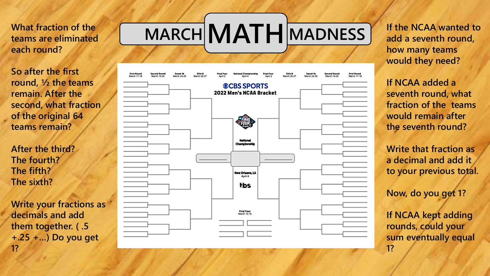**teams are eliminated each round?**

**So after the first round, ½ the teams remain. After the second, what fraction of the original 64 teams remain?**

**After the third? The fourth? The fifth? The sixth?** 

**Write your fractions as decimals and add them together. ( .5 +.25 +…) Do you get 1?**

## What fraction of the **MARCH MATH** MADNESS



**If the NCAA wanted to add a seventh round, how many teams would they need?**

**If NCAA added a seventh round, what fraction of the teams would remain after the seventh round?**

**Write that fraction as a decimal and add it to your previous total.**

**Now, do you get 1?**

**If NCAA kept adding rounds, could your sum eventually equal 1?**